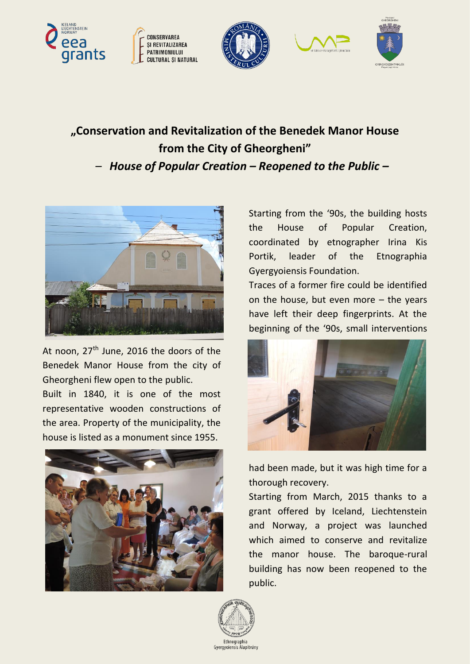









## **"Conservation and Revitalization of the Benedek Manor House from the City of Gheorgheni"** *– House of Popular Creation – Reopened to the Public –*



At noon,  $27<sup>th</sup>$  June, 2016 the doors of the Benedek Manor House from the city of Gheorgheni flew open to the public.

Built in 1840, it is one of the most representative wooden constructions of the area. Property of the municipality, the house is listed as a monument since 1955.



Starting from the '90s, the building hosts the House of Popular Creation, coordinated by etnographer Irina Kis Portik, leader of the Etnographia Gyergyoiensis Foundation.

Traces of a former fire could be identified on the house, but even more – the years have left their deep fingerprints. At the beginning of the '90s, small interventions



had been made, but it was high time for a thorough recovery.

Starting from March, 2015 thanks to a grant offered by Iceland, Liechtenstein and Norway, a project was launched which aimed to conserve and revitalize the manor house. The baroque-rural building has now been reopened to the public.

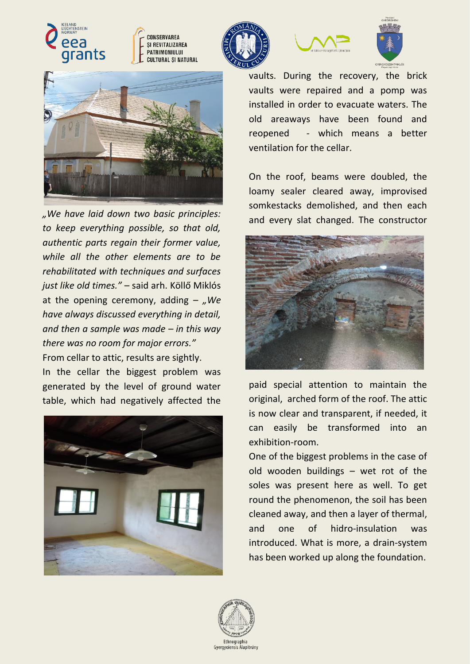





*"We have laid down two basic principles: to keep everything possible, so that old, authentic parts regain their former value, while all the other elements are to be rehabilitated with techniques and surfaces just like old times."* – said arh. Köllő Miklós at the opening ceremony, adding  $-$  , We *have always discussed everything in detail, and then a sample was made – in this way there was no room for major errors."* From cellar to attic, results are sightly.

In the cellar the biggest problem was generated by the level of ground water table, which had negatively affected the









vaults. During the recovery, the brick vaults were repaired and a pomp was installed in order to evacuate waters. The old areaways have been found and reopened - which means a better ventilation for the cellar.

On the roof, beams were doubled, the loamy sealer cleared away, improvised somkestacks demolished, and then each and every slat changed. The constructor



paid special attention to maintain the original, arched form of the roof. The attic is now clear and transparent, if needed, it can easily be transformed into an exhibition-room.

One of the biggest problems in the case of old wooden buildings – wet rot of the soles was present here as well. To get round the phenomenon, the soil has been cleaned away, and then a layer of thermal, and one of hidro-insulation was introduced. What is more, a drain-system has been worked up along the foundation.